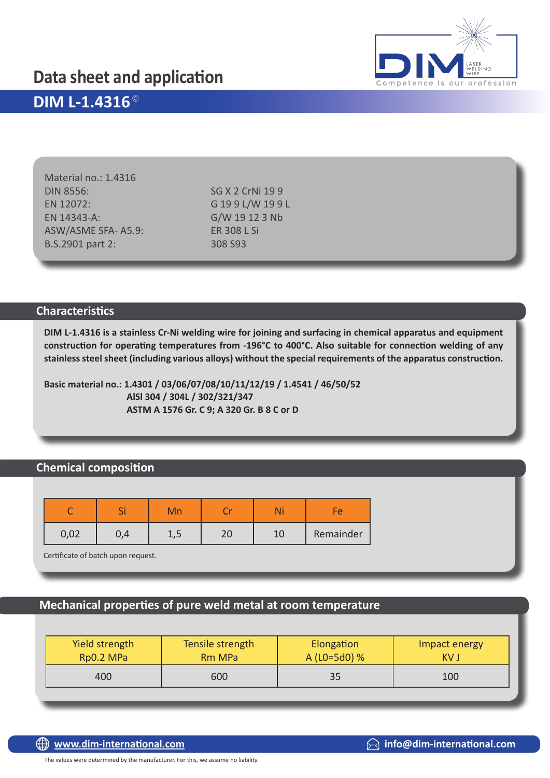## **Data sheet and application**



## **DIM L-1.4316**

Material no.: 1.4316 DIN 8556: SG X 2 CrNi 19 9 EN 12072: G 19 9 L/W 19 9 L EN 14343-A: G/W 19 12 3 Nb ASW/ASME SFA- A5.9: ER 308 L Si B.S.2901 part 2: 308 S93

#### **Characteristics**

**DIM L-1.4316 is a stainless Cr-Ni welding wire for joining and surfacing in chemical apparatus and equipment construction for operating temperatures from -196°C to 400°C. Also suitable for connection welding of any stainless steel sheet (including various alloys) without the special requirements of the apparatus construction.**

**Basic material no.: 1.4301 / 03/06/07/08/10/11/12/19 / 1.4541 / 46/50/52 AlSl 304 / 304L / 302/321/347 ASTM A 1576 Gr. C 9; A 320 Gr. B 8 C or D**

## **Chemical composition**

|      | ັ | Mn |          |           |
|------|---|----|----------|-----------|
| 0,02 |   |    | ົາ<br>∠⊾ | Remainder |

Certificate of batch upon request.

#### **Mechanical properties of pure weld metal at room temperature**

| Yield strength | Tensile strength | Elongation   | Impact energy |
|----------------|------------------|--------------|---------------|
| Rp0.2 MPa      | <b>Rm MPa</b>    | A (L0=5d0) % | KV J          |
| 400            | 600              | 35           | 100           |

The values were determined by the manufacturer. For this, we assume no liability.